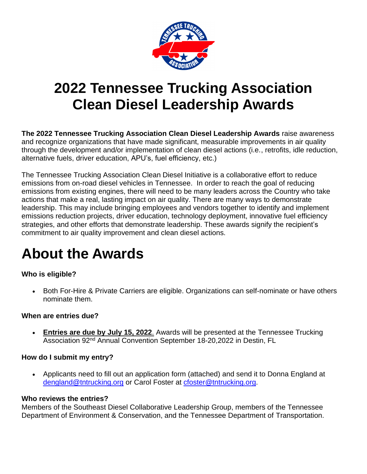

# **2022 Tennessee Trucking Association Clean Diesel Leadership Awards**

**The 2022 Tennessee Trucking Association Clean Diesel Leadership Awards** raise awareness and recognize organizations that have made significant, measurable improvements in air quality through the development and/or implementation of clean diesel actions (i.e., retrofits, idle reduction, alternative fuels, driver education, APU's, fuel efficiency, etc.)

The Tennessee Trucking Association Clean Diesel Initiative is a collaborative effort to reduce emissions from on-road diesel vehicles in Tennessee. In order to reach the goal of reducing emissions from existing engines, there will need to be many leaders across the Country who take actions that make a real, lasting impact on air quality. There are many ways to demonstrate leadership. This may include bringing employees and vendors together to identify and implement emissions reduction projects, driver education, technology deployment, innovative fuel efficiency strategies, and other efforts that demonstrate leadership. These awards signify the recipient's commitment to air quality improvement and clean diesel actions.

# **About the Awards**

# **Who is eligible?**

• Both For-Hire & Private Carriers are eligible. Organizations can self-nominate or have others nominate them.

## **When are entries due?**

• **Entries are due by July 15, 2022**. Awards will be presented at the Tennessee Trucking Association 92<sup>nd</sup> Annual Convention September 18-20,2022 in Destin, FL

## **How do I submit my entry?**

• Applicants need to fill out an application form (attached) and send it to Donna England at [dengland@tntrucking.org](mailto:dengland@tntrucking.org) or Carol Foster at [cfoster@tntrucking.org.](mailto:cfoster@tntrucking.org)

## **Who reviews the entries?**

Members of the Southeast Diesel Collaborative Leadership Group, members of the Tennessee Department of Environment & Conservation, and the Tennessee Department of Transportation.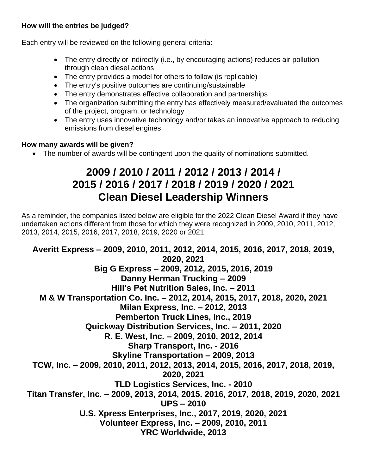# **How will the entries be judged?**

Each entry will be reviewed on the following general criteria:

- The entry directly or indirectly (i.e., by encouraging actions) reduces air pollution through clean diesel actions
- The entry provides a model for others to follow (is replicable)
- The entry's positive outcomes are continuing/sustainable
- The entry demonstrates effective collaboration and partnerships
- The organization submitting the entry has effectively measured/evaluated the outcomes of the project, program, or technology
- The entry uses innovative technology and/or takes an innovative approach to reducing emissions from diesel engines

# **How many awards will be given?**

• The number of awards will be contingent upon the quality of nominations submitted.

# **2009 / 2010 / 2011 / 2012 / 2013 / 2014 / 2015 / 2016 / 2017 / 2018 / 2019 / 2020 / 2021 Clean Diesel Leadership Winners**

As a reminder, the companies listed below are eligible for the 2022 Clean Diesel Award if they have undertaken actions different from those for which they were recognized in 2009, 2010, 2011, 2012, 2013, 2014, 2015, 2016, 2017, 2018, 2019, 2020 or 2021:

**Averitt Express – 2009, 2010, 2011, 2012, 2014, 2015, 2016, 2017, 2018, 2019, 2020, 2021 Big G Express – 2009, 2012, 2015, 2016, 2019 Danny Herman Trucking – 2009 Hill's Pet Nutrition Sales, Inc. – 2011 M & W Transportation Co. Inc. – 2012, 2014, 2015, 2017, 2018, 2020, 2021 Milan Express, Inc. – 2012, 2013 Pemberton Truck Lines, Inc., 2019 Quickway Distribution Services, Inc. – 2011, 2020 R. E. West, Inc. – 2009, 2010, 2012, 2014 Sharp Transport, Inc. - 2016 Skyline Transportation – 2009, 2013 TCW, Inc. – 2009, 2010, 2011, 2012, 2013, 2014, 2015, 2016, 2017, 2018, 2019, 2020, 2021 TLD Logistics Services, Inc. - 2010 Titan Transfer, Inc. – 2009, 2013, 2014, 2015. 2016, 2017, 2018, 2019, 2020, 2021 UPS – 2010 U.S. Xpress Enterprises, Inc., 2017, 2019, 2020, 2021 Volunteer Express, Inc. – 2009, 2010, 2011 YRC Worldwide, 2013**